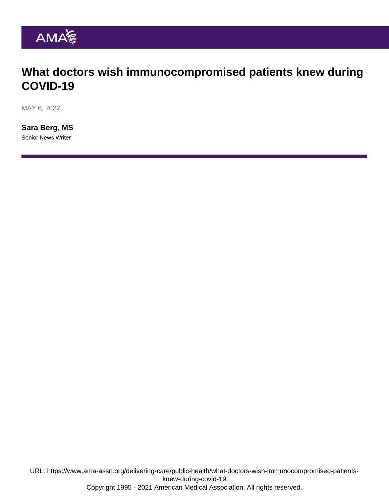# What doctors wish immunocompromised patients knew during COVID-19

MAY 6, 2022

[Sara Berg, MS](https://www.ama-assn.org/news-leadership-viewpoints/authors-news-leadership-viewpoints/sara-berg-ms) Senior News Writer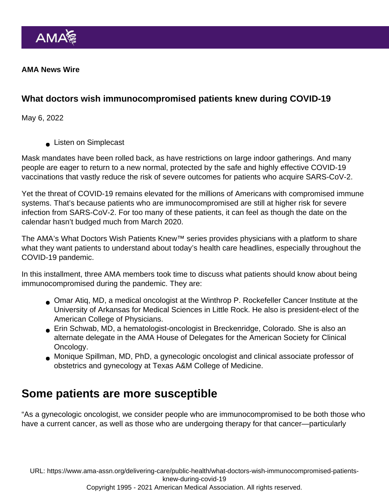AMA News Wire

What doctors wish immunocompromised patients knew during COVID-19

May 6, 2022

**Listen on Simplecast** 

Mask mandates have been rolled back, as have restrictions on large indoor gatherings. And many people are eager to return to a [new normal](https://www.ama-assn.org/delivering-care/public-health/amid-search-new-normal-questions-linger-about-covid-19), protected by the safe and highly effective COVID-19 vaccinations that vastly reduce the risk of severe outcomes for patients who acquire SARS-CoV-2.

Yet the threat of COVID-19 remains elevated for the millions of Americans with compromised immune systems. That's because patients who are immunocompromised are still at higher risk for severe infection from SARS-CoV-2. For too many of these patients, it can feel as though the date on the calendar hasn't budged much from March 2020.

The AMA's [What Doctors Wish Patients Knew™](https://www.ama-assn.org/series/what-doctors-wish-patients-knew) series provides physicians with a platform to share what they want patients to understand about today's health care headlines, especially throughout the COVID-19 pandemic.

In this installment, three AMA members took time to discuss what patients should know about being immunocompromised during the pandemic. They are:

- Omar Atiq, MD, a medical oncologist at the Winthrop P. Rockefeller Cancer Institute at the University of Arkansas for Medical Sciences in Little Rock. He also is president-elect of the American College of Physicians.
- Erin Schwab, MD, a hematologist-oncologist in Breckenridge, Colorado. She is also an alternate delegate in the [AMA House of Delegates](https://www.ama-assn.org/house-delegates) for the American Society for Clinical Oncology.
- Monique Spillman, MD, PhD, a gynecologic oncologist and clinical associate professor of obstetrics and gynecology at Texas A&M College of Medicine.

## Some patients are more susceptible

"As a gynecologic oncologist, we consider people who are immunocompromised to be both those who have a current cancer, as well as those who are undergoing therapy for that cancer—particularly

URL: [https://www.ama-assn.org/delivering-care/public-health/what-doctors-wish-immunocompromised-patients](https://www.ama-assn.org/delivering-care/public-health/what-doctors-wish-immunocompromised-patients-knew-during-covid-19)[knew-during-covid-19](https://www.ama-assn.org/delivering-care/public-health/what-doctors-wish-immunocompromised-patients-knew-during-covid-19)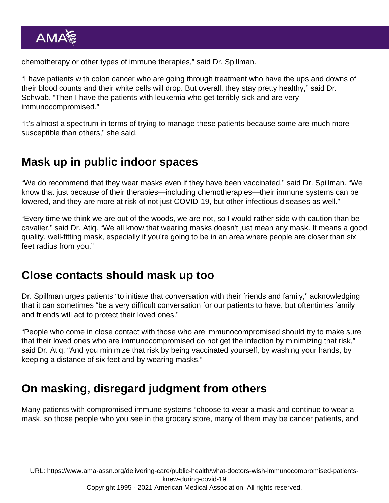chemotherapy or other types of immune therapies," said Dr. Spillman.

"I have patients with colon cancer who are going through treatment who have the ups and downs of their blood counts and their white cells will drop. But overall, they stay pretty healthy," said Dr. Schwab. "Then I have the patients with leukemia who get terribly sick and are very immunocompromised."

"It's almost a spectrum in terms of trying to manage these patients because some are much more susceptible than others," she said.

#### Mask up in public indoor spaces

"We do recommend that they wear masks even if they have been vaccinated," said Dr. Spillman. "We know that just because of their therapies—including chemotherapies—their immune systems can be lowered, and they are more at risk of not just COVID-19, but other infectious diseases as well."

"Every time we think we are out of the woods, we are not, so I would rather side with caution than be cavalier," said [Dr. Atiq](https://www.ama-assn.org/residents-students/specialty-profiles/what-it-s-specialize-medical-oncology-shadowing-dr-atiq). "We all know that wearing masks doesn't just mean any mask. It means a good quality, well-fitting mask, especially if you're going to be in an area where people are closer than six feet radius from you."

#### Close contacts should mask up too

Dr. Spillman urges patients "to initiate that conversation with their friends and family," acknowledging that it can sometimes "be a very difficult conversation for our patients to have, but oftentimes family and friends will act to protect their loved ones."

"People who come in close contact with those who are immunocompromised should try to make sure that their loved ones who are immunocompromised do not get the infection by minimizing that risk," said Dr. Atiq. "And you minimize that risk by being vaccinated yourself, by washing your hands, by keeping a distance of six feet and by wearing masks."

# On masking, disregard judgment from others

Many patients with compromised immune systems "choose to wear a mask and continue to wear a mask, so those people who you see in the grocery store, many of them may be cancer patients, and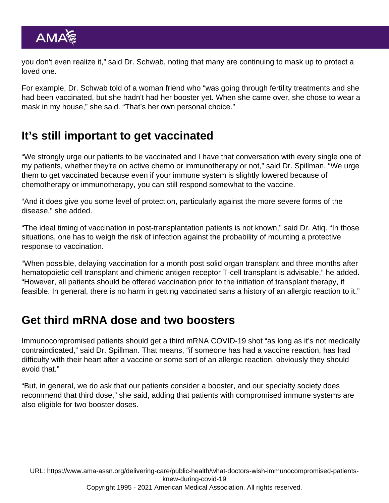you don't even realize it," said Dr. Schwab, noting that many are continuing to mask up to protect a loved one.

For example, Dr. Schwab told of a woman friend who "was going through fertility treatments and she had been vaccinated, but she hadn't had her booster yet. When she came over, she chose to wear a mask in my house," she said. "That's her own personal choice."

## It's still important to get vaccinated

"We strongly urge our [patients to be vaccinated](https://www.ama-assn.org/delivering-care/public-health/what-tell-immunocompromised-patients-about-covid-19-vaccines) and I have that conversation with every single one of my patients, whether they're on active chemo or immunotherapy or not," said Dr. Spillman. "We urge them to get vaccinated because even if your immune system is slightly lowered because of chemotherapy or immunotherapy, you can still respond somewhat to the vaccine.

"And it does give you some level of protection, particularly against the more severe forms of the disease," she added.

"The ideal timing of vaccination in post-transplantation patients is not known," said Dr. Atiq. "In those situations, one has to weigh the risk of infection against the probability of mounting a protective response to vaccination.

"When possible, delaying vaccination for a month post solid organ transplant and three months after hematopoietic cell transplant and chimeric antigen receptor T-cell transplant is advisable," he added. "However, all patients should be offered vaccination prior to the initiation of transplant therapy, if feasible. In general, there is no harm in getting vaccinated sans a history of an allergic reaction to it."

## Get third mRNA dose and two boosters

[Immunocompromised patients should get a third mRNA COVID-19 shot](https://www.ama-assn.org/delivering-care/public-health/why-immunocompromised-patients-should-get-third-mrna-covid-19-shot) "as long as it's not medically contraindicated," said Dr. Spillman. That means, "if someone has had a vaccine reaction, has had difficulty with their heart after a vaccine or some sort of an allergic reaction, obviously they should avoid that."

"But, in general, we do ask that our patients consider a [booster,](https://www.ama-assn.org/delivering-care/public-health/what-doctors-wish-patients-knew-about-covid-19-vaccine-boosters) and our specialty society does recommend that third dose," she said, adding that patients with compromised immune systems are also eligible for two booster doses.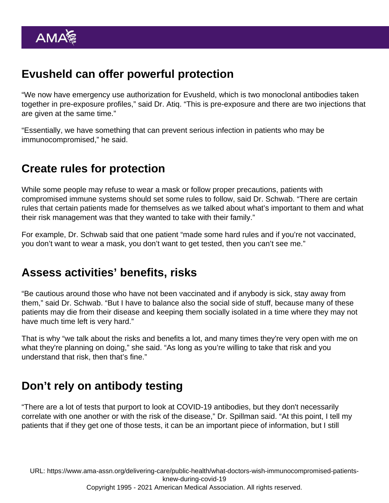# Evusheld can offer powerful protection

"We now have emergency use authorization for [Evusheld](https://www.ama-assn.org/delivering-care/public-health/3-tips-doctors-using-evusheld-covid-19-protection), which is two monoclonal antibodies taken together in pre-exposure profiles," said Dr. Atiq. "This is pre-exposure and there are two injections that are given at the same time."

"Essentially, we have something that can prevent serious infection in patients who may be immunocompromised," he said.

## Create rules for protection

While some people may refuse to wear a mask or follow proper precautions, patients with compromised immune systems should set some rules to follow, said Dr. Schwab. "There are certain rules that certain patients made for themselves as we talked about what's important to them and what their risk management was that they wanted to take with their family."

For example, Dr. Schwab said that one patient "made some hard rules and if you're not vaccinated, you don't want to wear a mask, you don't want to get tested, then you can't see me."

## Assess activities' benefits, risks

"Be cautious around those who have not been vaccinated and if anybody is sick, stay away from them," said Dr. Schwab. "But I have to balance also the social side of stuff, because many of these patients may die from their disease and keeping them socially isolated in a time where they may not have much time left is very hard."

That is why "we talk about the risks and benefits a lot, and many times they're very open with me on what they're planning on doing," she said. "As long as you're willing to take that risk and you understand that risk, then that's fine."

# Don't rely on antibody testing

"There are a lot of tests that purport to look at COVID-19 antibodies, but they don't necessarily correlate with one another or with the risk of the disease," Dr. Spillman said. "At this point, I tell my patients that if they get one of those tests, it can be an important piece of information, but I still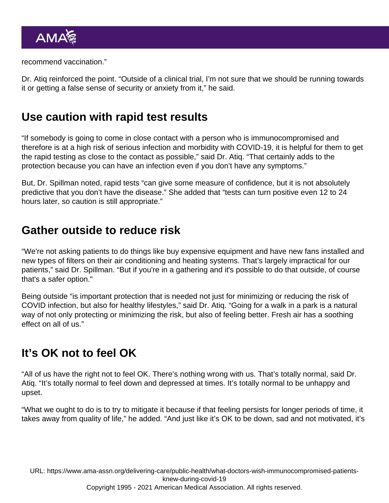recommend vaccination."

Dr. Atiq reinforced the point. "Outside of a clinical trial, I'm not sure that we should be running towards it or getting a false sense of security or anxiety from it," he said.

#### Use caution with rapid test results

"If somebody is going to come in close contact with a person who is immunocompromised and therefore is at a high risk of serious infection and morbidity with COVID-19, it is helpful for them to get the rapid testing as close to the contact as possible," said Dr. Atiq. "That certainly adds to the protection because you can have an infection even if you don't have any symptoms."

But, Dr. Spillman noted, rapid tests "can give some measure of confidence, but it is not absolutely predictive that you don't have the disease." She added that "tests can turn positive even 12 to 24 hours later, so caution is still appropriate."

## Gather outside to reduce risk

"We're not asking patients to do things like buy expensive equipment and have new fans installed and new types of filters on their air conditioning and heating systems. That's largely impractical for our patients," said Dr. Spillman. "But if you're in a gathering and it's possible to do that outside, of course that's a safer option."

Being outside "is important protection that is needed not just for minimizing or reducing the risk of COVID infection, but also for healthy lifestyles," said Dr. Atiq. "Going for a walk in a park is a natural way of not only protecting or minimizing the risk, but also of feeling better. Fresh air has a soothing effect on all of us."

## It's OK not to feel OK

"All of us have the right not to feel OK. There's nothing wrong with us. That's totally normal, said Dr. Atiq. "It's totally normal to feel down and depressed at times. It's totally normal to be unhappy and upset.

"What we ought to do is to try to mitigate it because if that feeling persists for longer periods of time, it takes away from quality of life," he added. "And just like it's OK to be down, sad and not motivated, it's